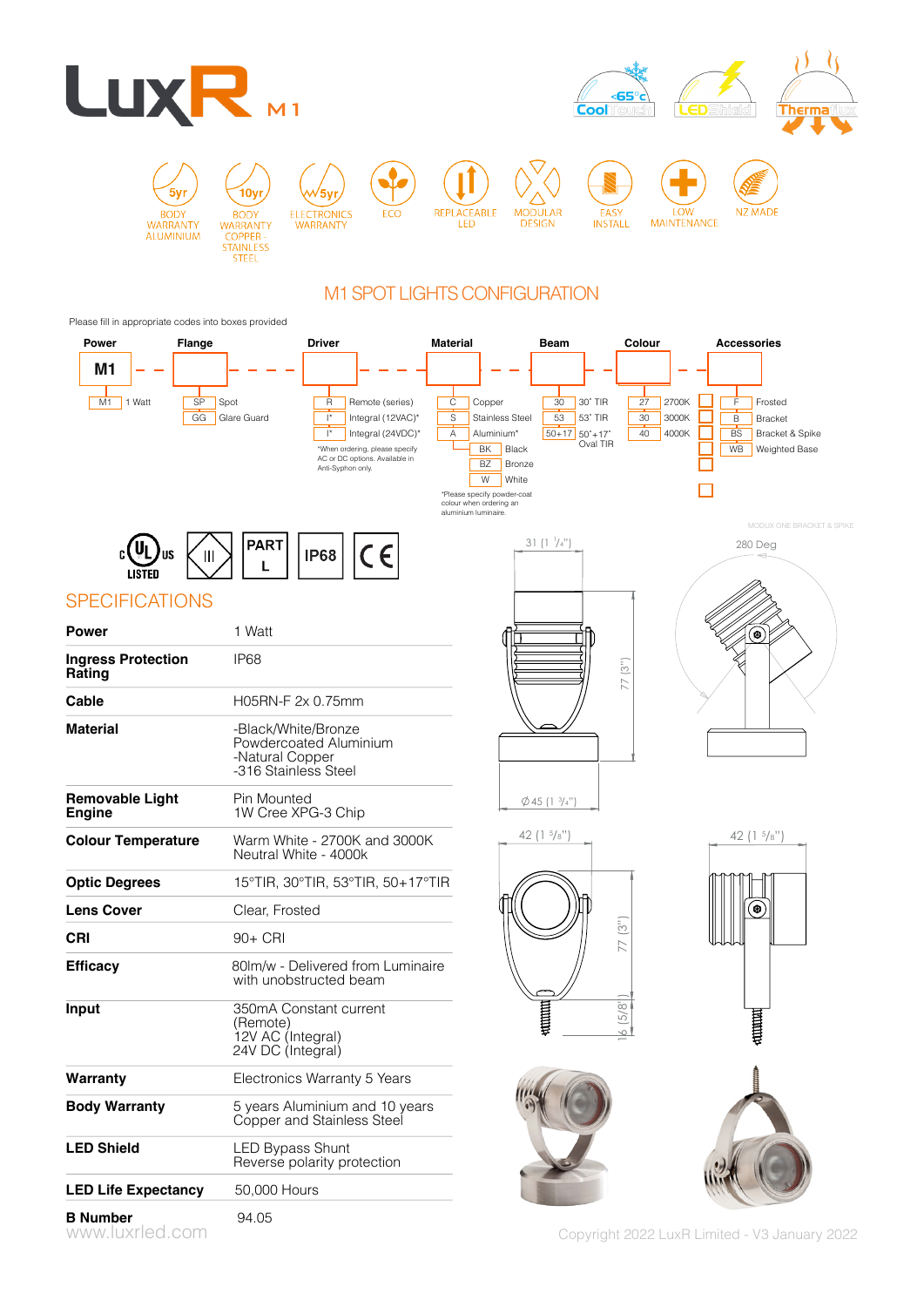

## M1 SPOT LIGHTS CONFIGURATION

#### Please fill in appropriate codes into boxes provided

| Power                                   | Flange   |                                                                | <b>Driver</b>                                                                                                                                                                     | <b>Material</b>                                                                                                       | <b>Beam</b>                                                                                                    | Colour                                           | <b>Accessories</b>                                                                                                                                 |
|-----------------------------------------|----------|----------------------------------------------------------------|-----------------------------------------------------------------------------------------------------------------------------------------------------------------------------------|-----------------------------------------------------------------------------------------------------------------------|----------------------------------------------------------------------------------------------------------------|--------------------------------------------------|----------------------------------------------------------------------------------------------------------------------------------------------------|
| M <sub>1</sub><br>M1<br>1 Watt          | SP<br>GG | Spot<br>Glare Guard                                            | R<br>Remote (series)<br>$\vert^*$<br>Integral (12VAC)*<br>$\vert^*$<br>Integral (24VDC)*<br>*When ordering, please specify<br>AC or DC options. Available in<br>Anti-Syphon only. | C<br>S<br>А<br>BK<br><b>BZ</b><br>W<br>*Please specify powder-coat<br>colour when ordering an<br>aluminium luminaire. | Copper<br>30<br><b>Stainless Steel</b><br>53<br>50+17 50°+17°<br>Aluminium*<br>Black<br><b>Bronze</b><br>White | 30° TIR<br>27<br>30<br>53° TIR<br>40<br>Oval TIR | 2700K<br>F<br>Frosted<br>3000K<br>B<br><b>Bracket</b><br>4000K<br><b>BS</b><br>Bracket & Spike<br>WB<br>Weighted Base<br>MODUX ONE BRACKET & SPIKE |
|                                         | Ш        | <b>PART</b>                                                    | CE<br><b>IP68</b>                                                                                                                                                                 |                                                                                                                       | 31(1)/4"                                                                                                       |                                                  | 280 Deg                                                                                                                                            |
| <b>SPECIFICATIONS</b>                   |          |                                                                |                                                                                                                                                                                   |                                                                                                                       |                                                                                                                |                                                  |                                                                                                                                                    |
| <b>Power</b>                            |          | 1 Watt                                                         |                                                                                                                                                                                   |                                                                                                                       |                                                                                                                |                                                  | ❀                                                                                                                                                  |
| <b>Ingress Protection</b><br>Rating     |          | IP68                                                           |                                                                                                                                                                                   |                                                                                                                       |                                                                                                                | (3")<br>77                                       |                                                                                                                                                    |
| Cable                                   |          | H05RN-F 2x 0.75mm                                              |                                                                                                                                                                                   |                                                                                                                       |                                                                                                                |                                                  |                                                                                                                                                    |
| <b>Material</b>                         |          | -Black/White/Bronze<br>-Natural Copper<br>-316 Stainless Steel | Powdercoated Aluminium                                                                                                                                                            |                                                                                                                       |                                                                                                                |                                                  |                                                                                                                                                    |
| <b>Removable Light</b><br><b>Engine</b> |          | Pin Mounted<br>1W Cree XPG-3 Chip                              |                                                                                                                                                                                   |                                                                                                                       | $\varphi$ 45 (1 $\frac{3}{4}$ ")                                                                               |                                                  |                                                                                                                                                    |
| <b>Colour Temperature</b>               |          | Neutral White - 4000k                                          | Warm White - 2700K and 3000K                                                                                                                                                      |                                                                                                                       | 42 ( $1\frac{5}{8}$ "                                                                                          |                                                  | 42 (1 $5/8"$                                                                                                                                       |
| <b>Optic Degrees</b>                    |          |                                                                | 15°TIR, 30°TIR, 53°TIR, 50+17°TIR                                                                                                                                                 |                                                                                                                       |                                                                                                                |                                                  |                                                                                                                                                    |
| <b>Lens Cover</b>                       |          | Clear, Frosted                                                 |                                                                                                                                                                                   |                                                                                                                       |                                                                                                                |                                                  | ®                                                                                                                                                  |
| <b>CRI</b>                              |          | 90+ CRI                                                        |                                                                                                                                                                                   |                                                                                                                       |                                                                                                                | (3")<br>77                                       |                                                                                                                                                    |
| <b>Efficacy</b>                         |          |                                                                | 80lm/w - Delivered from Luminaire<br>with unobstructed beam                                                                                                                       |                                                                                                                       |                                                                                                                |                                                  |                                                                                                                                                    |
| Input                                   |          | (Remote)<br>12V AC (Integral)<br>24V DC (Integral)             | 350mA Constant current                                                                                                                                                            |                                                                                                                       | <b>UNITED</b>                                                                                                  | 5/8"<br>$\sim$                                   | <b>THE REAL</b><br>븆                                                                                                                               |
| Warranty                                |          |                                                                | Electronics Warranty 5 Years                                                                                                                                                      |                                                                                                                       |                                                                                                                |                                                  |                                                                                                                                                    |
| <b>Body Warranty</b>                    |          |                                                                | 5 years Aluminium and 10 years<br>Copper and Stainless Steel                                                                                                                      |                                                                                                                       |                                                                                                                |                                                  |                                                                                                                                                    |
| <b>LED Shield</b>                       |          | <b>LED Bypass Shunt</b>                                        | Reverse polarity protection                                                                                                                                                       |                                                                                                                       |                                                                                                                |                                                  |                                                                                                                                                    |
| <b>LED Life Expectancy</b>              |          | 50,000 Hours                                                   |                                                                                                                                                                                   |                                                                                                                       |                                                                                                                |                                                  |                                                                                                                                                    |
| <b>B</b> Number<br>www.luxrled.com      |          | 94.05                                                          |                                                                                                                                                                                   |                                                                                                                       |                                                                                                                |                                                  | Copyright 2022 LuxR Limited - V3 January 2022                                                                                                      |